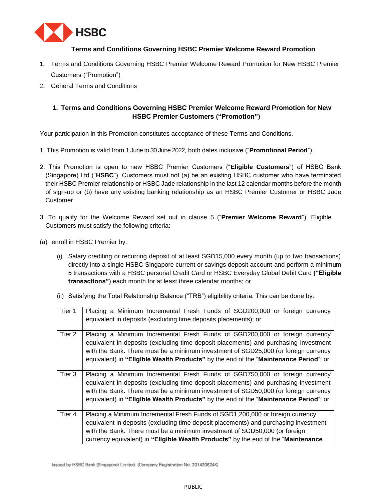

## **Terms and Conditions Governing HSBC Premier Welcome Reward Promotion**

- 1. Terms and Conditions Governing HSBC Premier Welcome Reward Promotion for New HSBC Premier [Customers \("Promotion"\)](#page-0-0)
- 2. [General Terms and Conditions](#page-7-0)

## <span id="page-0-0"></span>**1. [Terms and Conditions Governing HSBC Premier Welcome Reward Promotion for New](#page-0-0)  [HSBC Premier Customers \("Promotion"\)](#page-0-0)**

Your participation in this Promotion constitutes acceptance of these Terms and Conditions.

- 1. This Promotion is valid from 1 June to 30 June 2022, both dates inclusive ("**Promotional Period**").
- 2. This Promotion is open to new HSBC Premier Customers ("**Eligible Customers**") of HSBC Bank (Singapore) Ltd ("**HSBC**"). Customers must not (a) be an existing HSBC customer who have terminated their HSBC Premier relationship or HSBC Jade relationship in the last 12 calendar months before the month of sign-up or (b) have any existing banking relationship as an HSBC Premier Customer or HSBC Jade Customer.
- 3. To qualify for the Welcome Reward set out in clause 5 ("**Premier Welcome Reward**"), Eligible Customers must satisfy the following criteria:
- (a) enroll in HSBC Premier by:
	- (i) Salary crediting or recurring deposit of at least SGD15,000 every month (up to two transactions) directly into a single HSBC Singapore current or savings deposit account and perform a minimum 5 transactions with a HSBC personal Credit Card or HSBC Everyday Global Debit Card **("Eligible transactions"**) each month for at least three calendar months; or
	- (ii) Satisfying the Total Relationship Balance ("TRB") eligibility criteria. This can be done by:

| Tier 1 | Placing a Minimum Incremental Fresh Funds of SGD200,000 or foreign currency<br>equivalent in deposits (excluding time deposits placements); or                                                                                                                                                                                                     |
|--------|----------------------------------------------------------------------------------------------------------------------------------------------------------------------------------------------------------------------------------------------------------------------------------------------------------------------------------------------------|
| Tier 2 | Placing a Minimum Incremental Fresh Funds of SGD200,000 or foreign currency<br>equivalent in deposits (excluding time deposit placements) and purchasing investment<br>with the Bank. There must be a minimum investment of SGD25,000 (or foreign currency<br>equivalent) in "Eligible Wealth Products" by the end of the "Maintenance Period"; or |
| Tier 3 | Placing a Minimum Incremental Fresh Funds of SGD750,000 or foreign currency<br>equivalent in deposits (excluding time deposit placements) and purchasing investment<br>with the Bank. There must be a minimum investment of SGD50,000 (or foreign currency<br>equivalent) in "Eligible Wealth Products" by the end of the "Maintenance Period"; or |
| Tier 4 | Placing a Minimum Incremental Fresh Funds of SGD1,200,000 or foreign currency<br>equivalent in deposits (excluding time deposit placements) and purchasing investment<br>with the Bank. There must be a minimum investment of SGD50,000 (or foreign<br>currency equivalent) in "Eligible Wealth Products" by the end of the "Maintenance           |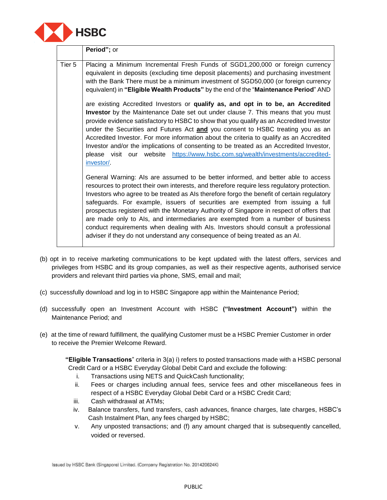

|        | Period"; or                                                                                                                                                                                                                                                                                                                                                                                                                                                                                                                                                                                                                                                                                                             |
|--------|-------------------------------------------------------------------------------------------------------------------------------------------------------------------------------------------------------------------------------------------------------------------------------------------------------------------------------------------------------------------------------------------------------------------------------------------------------------------------------------------------------------------------------------------------------------------------------------------------------------------------------------------------------------------------------------------------------------------------|
| Tier 5 | Placing a Minimum Incremental Fresh Funds of SGD1,200,000 or foreign currency<br>equivalent in deposits (excluding time deposit placements) and purchasing investment<br>with the Bank There must be a minimum investment of SGD50,000 (or foreign currency<br>equivalent) in "Eligible Wealth Products" by the end of the "Maintenance Period" AND                                                                                                                                                                                                                                                                                                                                                                     |
|        | are existing Accredited Investors or qualify as, and opt in to be, an Accredited<br>Investor by the Maintenance Date set out under clause 7. This means that you must<br>provide evidence satisfactory to HSBC to show that you qualify as an Accredited Investor<br>under the Securities and Futures Act and you consent to HSBC treating you as an<br>Accredited Investor. For more information about the criteria to qualify as an Accredited<br>Investor and/or the implications of consenting to be treated as an Accredited Investor,<br>please visit our website https://www.hsbc.com.sg/wealth/investments/accredited-<br>investor/                                                                             |
|        | General Warning: Als are assumed to be better informed, and better able to access<br>resources to protect their own interests, and therefore require less regulatory protection.<br>Investors who agree to be treated as Als therefore forgo the benefit of certain regulatory<br>safeguards. For example, issuers of securities are exempted from issuing a full<br>prospectus registered with the Monetary Authority of Singapore in respect of offers that<br>are made only to Als, and intermediaries are exempted from a number of business<br>conduct requirements when dealing with Als. Investors should consult a professional<br>adviser if they do not understand any consequence of being treated as an AI. |

- (b) opt in to receive marketing communications to be kept updated with the latest offers, services and privileges from HSBC and its group companies, as well as their respective agents, authorised service providers and relevant third parties via phone, SMS, email and mail;
- (c) successfully download and log in to HSBC Singapore app within the Maintenance Period;
- (d) successfully open an Investment Account with HSBC **("Investment Account")** within the Maintenance Period; and
- (e) at the time of reward fulfillment, the qualifying Customer must be a HSBC Premier Customer in order to receive the Premier Welcome Reward.

**"Eligible Transactions**" criteria in 3(a) i) refers to posted transactions made with a HSBC personal Credit Card or a HSBC Everyday Global Debit Card and exclude the following:

- i. Transactions using NETS and QuickCash functionality;
- ii. Fees or charges including annual fees, service fees and other miscellaneous fees in respect of a HSBC Everyday Global Debit Card or a HSBC Credit Card;
- iii. Cash withdrawal at ATMs;
- iv. Balance transfers, fund transfers, cash advances, finance charges, late charges, HSBC's Cash Instalment Plan, any fees charged by HSBC;
- v. Any unposted transactions; and (f) any amount charged that is subsequently cancelled, voided or reversed.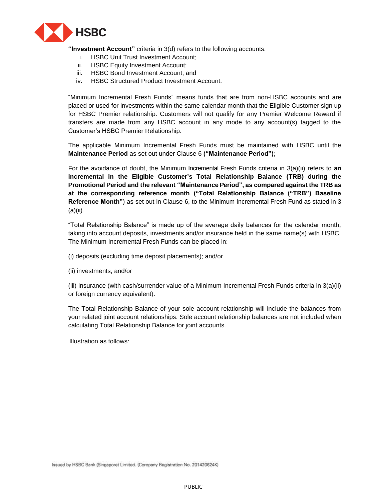

**"Investment Account"** criteria in 3(d) refers to the following accounts:

- i. HSBC Unit Trust Investment Account;
- ii. HSBC Equity Investment Account;
- iii. HSBC Bond Investment Account; and
- iv. HSBC Structured Product Investment Account.

"Minimum Incremental Fresh Funds" means funds that are from non-HSBC accounts and are placed or used for investments within the same calendar month that the Eligible Customer sign up for HSBC Premier relationship. Customers will not qualify for any Premier Welcome Reward if transfers are made from any HSBC account in any mode to any account(s) tagged to the Customer's HSBC Premier Relationship.

The applicable Minimum Incremental Fresh Funds must be maintained with HSBC until the **Maintenance Period** as set out under Clause 6 **("Maintenance Period");**

For the avoidance of doubt, the Minimum Incremental Fresh Funds criteria in 3(a)(ii) refers to **an incremental in the Eligible Customer's Total Relationship Balance (TRB) during the Promotional Period and the relevant "Maintenance Period", as compared against the TRB as at the corresponding reference month ("Total Relationship Balance ("TRB") Baseline Reference Month"**) as set out in Clause 6, to the Minimum Incremental Fresh Fund as stated in 3 (a)(ii).

"Total Relationship Balance" is made up of the average daily balances for the calendar month, taking into account deposits, investments and/or insurance held in the same name(s) with HSBC. The Minimum Incremental Fresh Funds can be placed in:

(i) deposits (excluding time deposit placements); and/or

(ii) investments; and/or

(iii) insurance (with cash/surrender value of a Minimum Incremental Fresh Funds criteria in 3(a)(ii) or foreign currency equivalent).

The Total Relationship Balance of your sole account relationship will include the balances from your related joint account relationships. Sole account relationship balances are not included when calculating Total Relationship Balance for joint accounts.

Illustration as follows: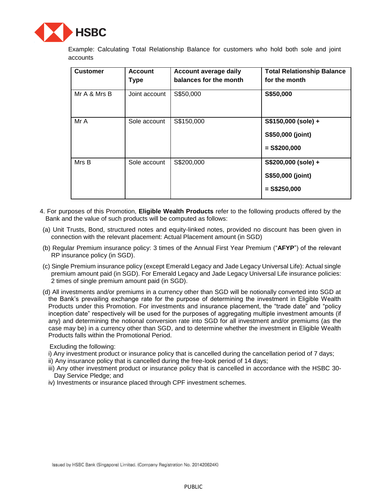

Example: Calculating Total Relationship Balance for customers who hold both sole and joint accounts

| <b>Customer</b> | <b>Account</b><br><b>Type</b> | Account average daily<br>balances for the month | <b>Total Relationship Balance</b><br>for the month         |
|-----------------|-------------------------------|-------------------------------------------------|------------------------------------------------------------|
| Mr A & Mrs B    | Joint account                 | S\$50,000                                       | S\$50,000                                                  |
| Mr A            | Sole account                  | S\$150,000                                      | S\$150,000 (sole) +<br>S\$50,000 (joint)<br>$=$ S\$200,000 |
| Mrs B           | Sole account                  | S\$200,000                                      | S\$200,000 (sole) +<br>S\$50,000 (joint)<br>$=$ S\$250,000 |

- 4. For purposes of this Promotion, **Eligible Wealth Products** refer to the following products offered by the Bank and the value of such products will be computed as follows:
- (a) Unit Trusts, Bond, structured notes and equity-linked notes, provided no discount has been given in connection with the relevant placement: Actual Placement amount (in SGD)
- (b) Regular Premium insurance policy: 3 times of the Annual First Year Premium ("**AFYP**") of the relevant RP insurance policy (in SGD).
- (c) Single Premium insurance policy (except Emerald Legacy and Jade Legacy Universal Life): Actual single premium amount paid (in SGD). For Emerald Legacy and Jade Legacy Universal Life insurance policies: 2 times of single premium amount paid (in SGD).
- (d) All investments and/or premiums in a currency other than SGD will be notionally converted into SGD at the Bank's prevailing exchange rate for the purpose of determining the investment in Eligible Wealth Products under this Promotion. For investments and insurance placement, the "trade date" and "policy inception date" respectively will be used for the purposes of aggregating multiple investment amounts (if any) and determining the notional conversion rate into SGD for all investment and/or premiums (as the case may be) in a currency other than SGD, and to determine whether the investment in Eligible Wealth Products falls within the Promotional Period.

Excluding the following:

- i) Any investment product or insurance policy that is cancelled during the cancellation period of 7 days;
- ii) Any insurance policy that is cancelled during the free-look period of 14 days;
- iii) Any other investment product or insurance policy that is cancelled in accordance with the HSBC 30- Day Service Pledge; and
- iv) Investments or insurance placed through CPF investment schemes.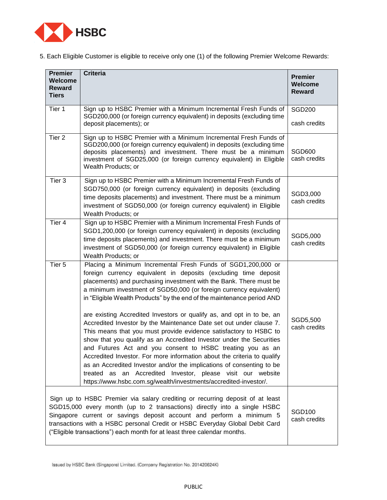

5. Each Eligible Customer is eligible to receive only one (1) of the following Premier Welcome Rewards:

| <b>Premier</b><br><b>Welcome</b><br><b>Reward</b><br><b>Tiers</b> | <b>Criteria</b>                                                                                                                                                                                                                                                                                                                                                                                                                                                                                                                                                                                                                                                                                                                                                                             | <b>Premier</b><br><b>Welcome</b><br><b>Reward</b> |
|-------------------------------------------------------------------|---------------------------------------------------------------------------------------------------------------------------------------------------------------------------------------------------------------------------------------------------------------------------------------------------------------------------------------------------------------------------------------------------------------------------------------------------------------------------------------------------------------------------------------------------------------------------------------------------------------------------------------------------------------------------------------------------------------------------------------------------------------------------------------------|---------------------------------------------------|
| Tier 1                                                            | Sign up to HSBC Premier with a Minimum Incremental Fresh Funds of<br>SGD200,000 (or foreign currency equivalent) in deposits (excluding time<br>deposit placements); or                                                                                                                                                                                                                                                                                                                                                                                                                                                                                                                                                                                                                     | <b>SGD200</b><br>cash credits                     |
| Tier <sub>2</sub>                                                 | Sign up to HSBC Premier with a Minimum Incremental Fresh Funds of<br>SGD200,000 (or foreign currency equivalent) in deposits (excluding time<br>deposits placements) and investment. There must be a minimum<br>investment of SGD25,000 (or foreign currency equivalent) in Eligible<br>Wealth Products; or                                                                                                                                                                                                                                                                                                                                                                                                                                                                                 | <b>SGD600</b><br>cash credits                     |
| Tier 3                                                            | Sign up to HSBC Premier with a Minimum Incremental Fresh Funds of<br>SGD750,000 (or foreign currency equivalent) in deposits (excluding<br>time deposits placements) and investment. There must be a minimum<br>investment of SGD50,000 (or foreign currency equivalent) in Eligible<br>Wealth Products; or                                                                                                                                                                                                                                                                                                                                                                                                                                                                                 | SGD3,000<br>cash credits                          |
| Tier 4                                                            | Sign up to HSBC Premier with a Minimum Incremental Fresh Funds of<br>SGD1,200,000 (or foreign currency equivalent) in deposits (excluding<br>time deposits placements) and investment. There must be a minimum<br>investment of SGD50,000 (or foreign currency equivalent) in Eligible<br>Wealth Products; or                                                                                                                                                                                                                                                                                                                                                                                                                                                                               | SGD5,000<br>cash credits                          |
| Tier <sub>5</sub>                                                 | Placing a Minimum Incremental Fresh Funds of SGD1,200,000 or<br>foreign currency equivalent in deposits (excluding time deposit<br>placements) and purchasing investment with the Bank. There must be<br>a minimum investment of SGD50,000 (or foreign currency equivalent)<br>in "Eligible Wealth Products" by the end of the maintenance period AND<br>are existing Accredited Investors or qualify as, and opt in to be, an<br>Accredited Investor by the Maintenance Date set out under clause 7.<br>This means that you must provide evidence satisfactory to HSBC to<br>show that you qualify as an Accredited Investor under the Securities<br>and Futures Act and you consent to HSBC treating you as an<br>Accredited Investor. For more information about the criteria to qualify | SGD5,500<br>cash credits                          |
|                                                                   | as an Accredited Investor and/or the implications of consenting to be<br>treated as an Accredited Investor, please visit our website<br>https://www.hsbc.com.sg/wealth/investments/accredited-investor/.                                                                                                                                                                                                                                                                                                                                                                                                                                                                                                                                                                                    |                                                   |
|                                                                   | Sign up to HSBC Premier via salary crediting or recurring deposit of at least<br>SGD15,000 every month (up to 2 transactions) directly into a single HSBC<br>Singapore current or savings deposit account and perform a minimum 5<br>transactions with a HSBC personal Credit or HSBC Everyday Global Debit Card<br>("Eligible transactions") each month for at least three calendar months.                                                                                                                                                                                                                                                                                                                                                                                                | <b>SGD100</b><br>cash credits                     |

Issued by HSBC Bank (Singapore) Limited. (Company Registration No. 201420624K)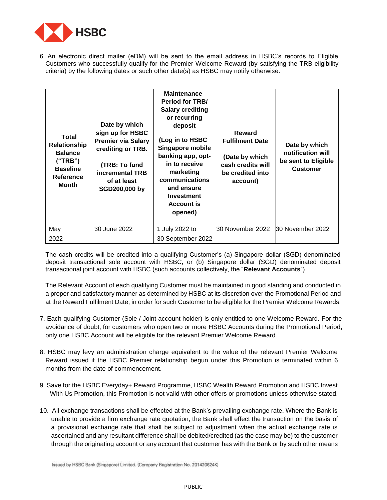

6 . An electronic direct mailer (eDM) will be sent to the email address in HSBC's records to Eligible Customers who successfully qualify for the Premier Welcome Reward (by satisfying the TRB eligibility criteria) by the following dates or such other date(s) as HSBC may notify otherwise.

| Total<br>Relationship<br><b>Balance</b><br>("TRB")<br><b>Baseline</b><br>Reference<br>Month | Date by which<br>sign up for HSBC<br><b>Premier via Salary</b><br>crediting or TRB.<br>(TRB: To fund<br>incremental TRB<br>of at least<br>SGD200,000 by | <b>Maintenance</b><br><b>Period for TRB/</b><br><b>Salary crediting</b><br>or recurring<br>deposit<br>(Log in to HSBC<br>Singapore mobile<br>banking app, opt-<br>in to receive<br>marketing<br>communications<br>and ensure<br>Investment<br><b>Account is</b><br>opened) | Reward<br><b>Fulfilment Date</b><br>(Date by which<br>cash credits will<br>be credited into<br>account) | Date by which<br>notification will<br>be sent to Eligible<br><b>Customer</b> |
|---------------------------------------------------------------------------------------------|---------------------------------------------------------------------------------------------------------------------------------------------------------|----------------------------------------------------------------------------------------------------------------------------------------------------------------------------------------------------------------------------------------------------------------------------|---------------------------------------------------------------------------------------------------------|------------------------------------------------------------------------------|
| May<br>2022                                                                                 | 30 June 2022                                                                                                                                            | 1 July 2022 to<br>30 September 2022                                                                                                                                                                                                                                        | 30 November 2022                                                                                        | 30 November 2022                                                             |

The cash credits will be credited into a qualifying Customer's (a) Singapore dollar (SGD) denominated deposit transactional sole account with HSBC, or (b) Singapore dollar (SGD) denominated deposit transactional joint account with HSBC (such accounts collectively, the "**Relevant Accounts**").

The Relevant Account of each qualifying Customer must be maintained in good standing and conducted in a proper and satisfactory manner as determined by HSBC at its discretion over the Promotional Period and at the Reward Fulfilment Date, in order for such Customer to be eligible for the Premier Welcome Rewards.

- 7. Each qualifying Customer (Sole / Joint account holder) is only entitled to one Welcome Reward. For the avoidance of doubt, for customers who open two or more HSBC Accounts during the Promotional Period, only one HSBC Account will be eligible for the relevant Premier Welcome Reward.
- 8. HSBC may levy an administration charge equivalent to the value of the relevant Premier Welcome Reward issued if the HSBC Premier relationship begun under this Promotion is terminated within 6 months from the date of commencement.
- 9. Save for the HSBC Everyday+ Reward Programme, HSBC Wealth Reward Promotion and HSBC Invest With Us Promotion, this Promotion is not valid with other offers or promotions unless otherwise stated.
- 10. All exchange transactions shall be effected at the Bank's prevailing exchange rate. Where the Bank is unable to provide a firm exchange rate quotation, the Bank shall effect the transaction on the basis of a provisional exchange rate that shall be subject to adjustment when the actual exchange rate is ascertained and any resultant difference shall be debited/credited (as the case may be) to the customer through the originating account or any account that customer has with the Bank or by such other means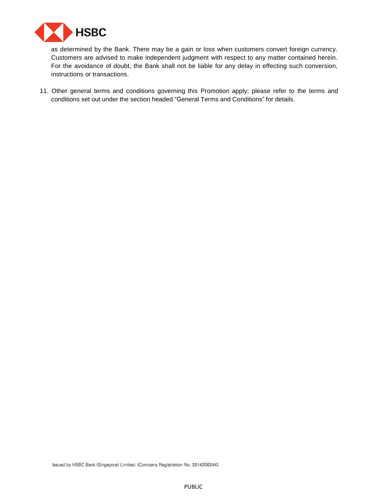

as determined by the Bank. There may be a gain or loss when customers convert foreign currency. Customers are advised to make independent judgment with respect to any matter contained herein. For the avoidance of doubt, the Bank shall not be liable for any delay in effecting such conversion, instructions or transactions.

11. Other general terms and conditions governing this Promotion apply; please refer to the terms and conditions set out under the section headed "General Terms and Conditions" for details.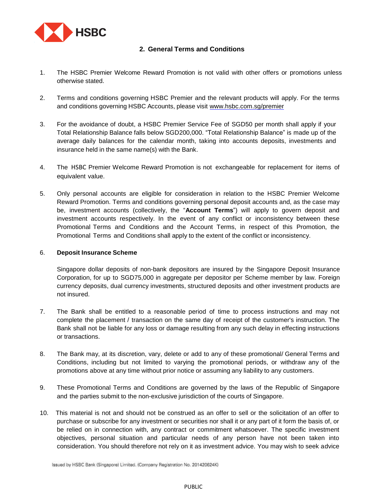

## <span id="page-7-0"></span>**2. General [Terms and Conditions](#page-7-0)**

- 1. The HSBC Premier Welcome Reward Promotion is not valid with other offers or promotions unless otherwise stated.
- 2. Terms and conditions governing HSBC Premier and the relevant products will apply. For the terms and conditions governing HSBC Accounts, please visit www.hsbc.com.sg/premier
- 3. For the avoidance of doubt, a HSBC Premier Service Fee of SGD50 per month shall apply if your Total Relationship Balance falls below SGD200,000. "Total Relationship Balance" is made up of the average daily balances for the calendar month, taking into accounts deposits, investments and insurance held in the same name(s) with the Bank.
- 4. The HSBC Premier Welcome Reward Promotion is not exchangeable for replacement for items of equivalent value.
- 5. Only personal accounts are eligible for consideration in relation to the HSBC Premier Welcome Reward Promotion. Terms and conditions governing personal deposit accounts and, as the case may be, investment accounts (collectively, the "**Account Terms**") will apply to govern deposit and investment accounts respectively. In the event of any conflict or inconsistency between these Promotional Terms and Conditions and the Account Terms, in respect of this Promotion, the Promotional Terms and Conditions shall apply to the extent of the conflict or inconsistency.

## 6. **Deposit Insurance Scheme**

Singapore dollar deposits of non-bank depositors are insured by the Singapore Deposit Insurance Corporation, for up to SGD75,000 in aggregate per depositor per Scheme member by law. Foreign currency deposits, dual currency investments, structured deposits and other investment products are not insured.

- 7. The Bank shall be entitled to a reasonable period of time to process instructions and may not complete the placement / transaction on the same day of receipt of the customer's instruction. The Bank shall not be liable for any loss or damage resulting from any such delay in effecting instructions or transactions.
- 8. The Bank may, at its discretion, vary, delete or add to any of these promotional/ General Terms and Conditions, including but not limited to varying the promotional periods, or withdraw any of the promotions above at any time without prior notice or assuming any liability to any customers.
- 9. These Promotional Terms and Conditions are governed by the laws of the Republic of Singapore and the parties submit to the non-exclusive jurisdiction of the courts of Singapore.
- 10. This material is not and should not be construed as an offer to sell or the solicitation of an offer to purchase or subscribe for any investment or securities nor shall it or any part of it form the basis of, or be relied on in connection with, any contract or commitment whatsoever. The specific investment objectives, personal situation and particular needs of any person have not been taken into consideration. You should therefore not rely on it as investment advice. You may wish to seek advice